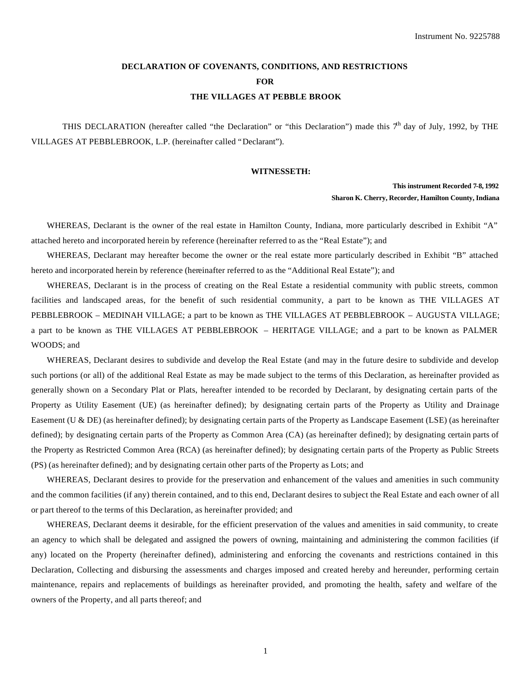# **DECLARATION OF COVENANTS, CONDITIONS, AND RESTRICTIONS FOR THE VILLAGES AT PEBBLE BROOK**

THIS DECLARATION (hereafter called "the Declaration" or "this Declaration") made this  $7<sup>h</sup>$  day of July, 1992, by THE VILLAGES AT PEBBLEBROOK, L.P. (hereinafter called "Declarant").

#### **WITNESSETH:**

## **This instrument Recorded 7-8, 1992 Sharon K. Cherry, Recorder, Hamilton County, Indiana**

WHEREAS, Declarant is the owner of the real estate in Hamilton County, Indiana, more particularly described in Exhibit "A" attached hereto and incorporated herein by reference (hereinafter referred to as the "Real Estate"); and

WHEREAS, Declarant may hereafter become the owner or the real estate more particularly described in Exhibit "B" attached hereto and incorporated herein by reference (hereinafter referred to as the "Additional Real Estate"); and

WHEREAS, Declarant is in the process of creating on the Real Estate a residential community with public streets, common facilities and landscaped areas, for the benefit of such residential community, a part to be known as THE VILLAGES AT PEBBLEBROOK – MEDINAH VILLAGE; a part to be known as THE VILLAGES AT PEBBLEBROOK – AUGUSTA VILLAGE; a part to be known as THE VILLAGES AT PEBBLEBROOK – HERITAGE VILLAGE; and a part to be known as PALMER WOODS; and

WHEREAS, Declarant desires to subdivide and develop the Real Estate (and may in the future desire to subdivide and develop such portions (or all) of the additional Real Estate as may be made subject to the terms of this Declaration, as hereinafter provided as generally shown on a Secondary Plat or Plats, hereafter intended to be recorded by Declarant, by designating certain parts of the Property as Utility Easement (UE) (as hereinafter defined); by designating certain parts of the Property as Utility and Drainage Easement (U & DE) (as hereinafter defined); by designating certain parts of the Property as Landscape Easement (LSE) (as hereinafter defined); by designating certain parts of the Property as Common Area (CA) (as hereinafter defined); by designating certain parts of the Property as Restricted Common Area (RCA) (as hereinafter defined); by designating certain parts of the Property as Public Streets (PS) (as hereinafter defined); and by designating certain other parts of the Property as Lots; and

WHEREAS, Declarant desires to provide for the preservation and enhancement of the values and amenities in such community and the common facilities (if any) therein contained, and to this end, Declarant desires to subject the Real Estate and each owner of all or part thereof to the terms of this Declaration, as hereinafter provided; and

WHEREAS, Declarant deems it desirable, for the efficient preservation of the values and amenities in said community, to create an agency to which shall be delegated and assigned the powers of owning, maintaining and administering the common facilities (if any) located on the Property (hereinafter defined), administering and enforcing the covenants and restrictions contained in this Declaration, Collecting and disbursing the assessments and charges imposed and created hereby and hereunder, performing certain maintenance, repairs and replacements of buildings as hereinafter provided, and promoting the health, safety and welfare of the owners of the Property, and all parts thereof; and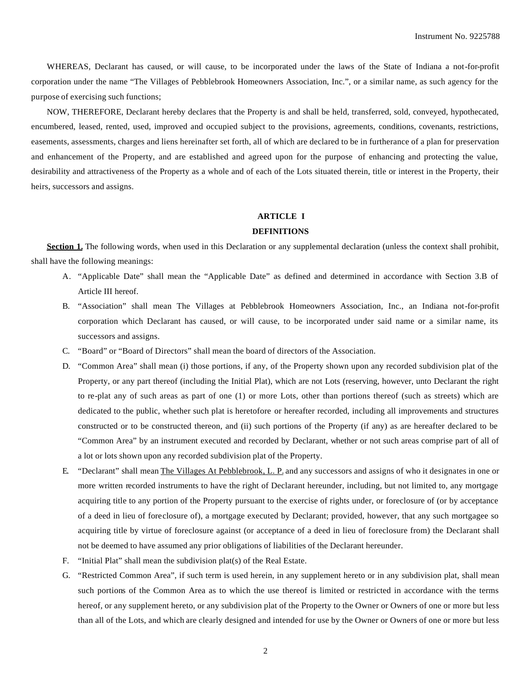WHEREAS, Declarant has caused, or will cause, to be incorporated under the laws of the State of Indiana a not-for-profit corporation under the name "The Villages of Pebblebrook Homeowners Association, Inc.", or a similar name, as such agency for the purpose of exercising such functions;

NOW, THEREFORE, Declarant hereby declares that the Property is and shall be held, transferred, sold, conveyed, hypothecated, encumbered, leased, rented, used, improved and occupied subject to the provisions, agreements, conditions, covenants, restrictions, easements, assessments, charges and liens hereinafter set forth, all of which are declared to be in furtherance of a plan for preservation and enhancement of the Property, and are established and agreed upon for the purpose of enhancing and protecting the value, desirability and attractiveness of the Property as a whole and of each of the Lots situated therein, title or interest in the Property, their heirs, successors and assigns.

### **ARTICLE I**

#### **DEFINITIONS**

**Section 1.** The following words, when used in this Declaration or any supplemental declaration (unless the context shall prohibit, shall have the following meanings:

- A. "Applicable Date" shall mean the "Applicable Date" as defined and determined in accordance with Section 3.B of Article III hereof.
- B. "Association" shall mean The Villages at Pebblebrook Homeowners Association, Inc., an Indiana not-for-profit corporation which Declarant has caused, or will cause, to be incorporated under said name or a similar name, its successors and assigns.
- C. "Board" or "Board of Directors" shall mean the board of directors of the Association.
- D. "Common Area" shall mean (i) those portions, if any, of the Property shown upon any recorded subdivision plat of the Property, or any part thereof (including the Initial Plat), which are not Lots (reserving, however, unto Declarant the right to re-plat any of such areas as part of one (1) or more Lots, other than portions thereof (such as streets) which are dedicated to the public, whether such plat is heretofore or hereafter recorded, including all improvements and structures constructed or to be constructed thereon, and (ii) such portions of the Property (if any) as are hereafter declared to be "Common Area" by an instrument executed and recorded by Declarant, whether or not such areas comprise part of all of a lot or lots shown upon any recorded subdivision plat of the Property.
- E. "Declarant" shall mean The Villages At Pebblebrook, L. P. and any successors and assigns of who it designates in one or more written recorded instruments to have the right of Declarant hereunder, including, but not limited to, any mortgage acquiring title to any portion of the Property pursuant to the exercise of rights under, or foreclosure of (or by acceptance of a deed in lieu of foreclosure of), a mortgage executed by Declarant; provided, however, that any such mortgagee so acquiring title by virtue of foreclosure against (or acceptance of a deed in lieu of foreclosure from) the Declarant shall not be deemed to have assumed any prior obligations of liabilities of the Declarant hereunder.
- F. "Initial Plat" shall mean the subdivision plat(s) of the Real Estate.
- G. "Restricted Common Area", if such term is used herein, in any supplement hereto or in any subdivision plat, shall mean such portions of the Common Area as to which the use thereof is limited or restricted in accordance with the terms hereof, or any supplement hereto, or any subdivision plat of the Property to the Owner or Owners of one or more but less than all of the Lots, and which are clearly designed and intended for use by the Owner or Owners of one or more but less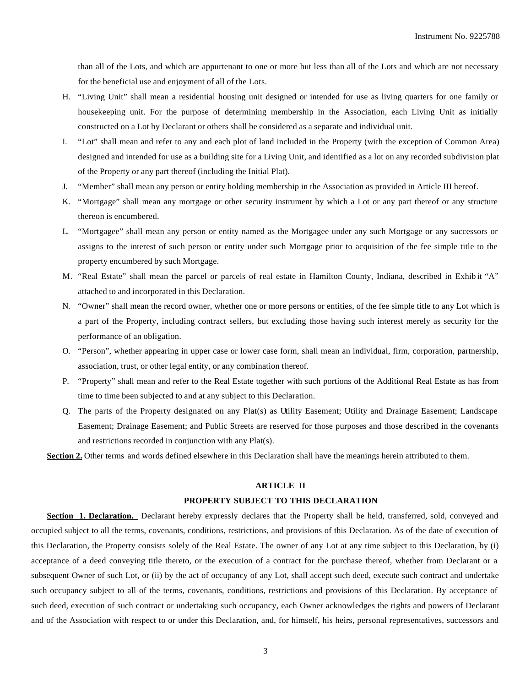than all of the Lots, and which are appurtenant to one or more but less than all of the Lots and which are not necessary for the beneficial use and enjoyment of all of the Lots.

- H. "Living Unit" shall mean a residential housing unit designed or intended for use as living quarters for one family or housekeeping unit. For the purpose of determining membership in the Association, each Living Unit as initially constructed on a Lot by Declarant or others shall be considered as a separate and individual unit.
- I. "Lot" shall mean and refer to any and each plot of land included in the Property (with the exception of Common Area) designed and intended for use as a building site for a Living Unit, and identified as a lot on any recorded subdivision plat of the Property or any part thereof (including the Initial Plat).
- J. "Member" shall mean any person or entity holding membership in the Association as provided in Article III hereof.
- K. "Mortgage" shall mean any mortgage or other security instrument by which a Lot or any part thereof or any structure thereon is encumbered.
- L. "Mortgagee" shall mean any person or entity named as the Mortgagee under any such Mortgage or any successors or assigns to the interest of such person or entity under such Mortgage prior to acquisition of the fee simple title to the property encumbered by such Mortgage.
- M. "Real Estate" shall mean the parcel or parcels of real estate in Hamilton County, Indiana, described in Exhib it "A" attached to and incorporated in this Declaration.
- N. "Owner" shall mean the record owner, whether one or more persons or entities, of the fee simple title to any Lot which is a part of the Property, including contract sellers, but excluding those having such interest merely as security for the performance of an obligation.
- O. "Person", whether appearing in upper case or lower case form, shall mean an individual, firm, corporation, partnership, association, trust, or other legal entity, or any combination thereof.
- P. "Property" shall mean and refer to the Real Estate together with such portions of the Additional Real Estate as has from time to time been subjected to and at any subject to this Declaration.
- Q. The parts of the Property designated on any Plat(s) as Utility Easement; Utility and Drainage Easement; Landscape Easement; Drainage Easement; and Public Streets are reserved for those purposes and those described in the covenants and restrictions recorded in conjunction with any Plat(s).

**Section 2.** Other terms and words defined elsewhere in this Declaration shall have the meanings herein attributed to them.

### **ARTICLE II**

## **PROPERTY SUBJECT TO THIS DECLARATION**

**Section 1. Declaration.** Declarant hereby expressly declares that the Property shall be held, transferred, sold, conveyed and occupied subject to all the terms, covenants, conditions, restrictions, and provisions of this Declaration. As of the date of execution of this Declaration, the Property consists solely of the Real Estate. The owner of any Lot at any time subject to this Declaration, by (i) acceptance of a deed conveying title thereto, or the execution of a contract for the purchase thereof, whether from Declarant or a subsequent Owner of such Lot, or (ii) by the act of occupancy of any Lot, shall accept such deed, execute such contract and undertake such occupancy subject to all of the terms, covenants, conditions, restrictions and provisions of this Declaration. By acceptance of such deed, execution of such contract or undertaking such occupancy, each Owner acknowledges the rights and powers of Declarant and of the Association with respect to or under this Declaration, and, for himself, his heirs, personal representatives, successors and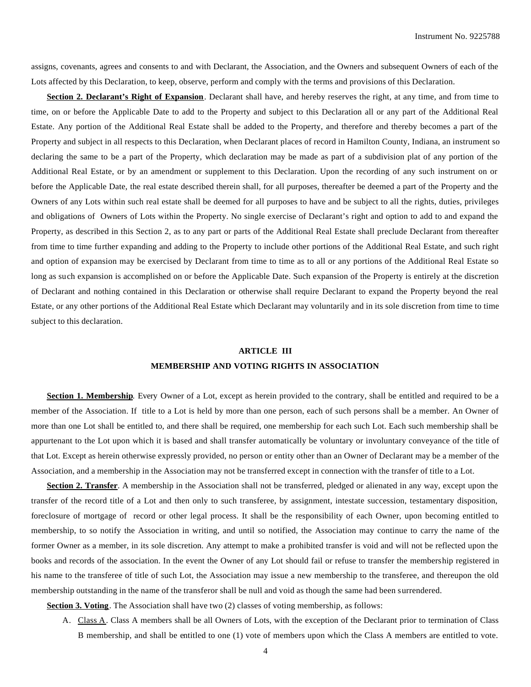assigns, covenants, agrees and consents to and with Declarant, the Association, and the Owners and subsequent Owners of each of the Lots affected by this Declaration, to keep, observe, perform and comply with the terms and provisions of this Declaration.

**Section 2. Declarant's Right of Expansion**. Declarant shall have, and hereby reserves the right, at any time, and from time to time, on or before the Applicable Date to add to the Property and subject to this Declaration all or any part of the Additional Real Estate. Any portion of the Additional Real Estate shall be added to the Property, and therefore and thereby becomes a part of the Property and subject in all respects to this Declaration, when Declarant places of record in Hamilton County, Indiana, an instrument so declaring the same to be a part of the Property, which declaration may be made as part of a subdivision plat of any portion of the Additional Real Estate, or by an amendment or supplement to this Declaration. Upon the recording of any such instrument on or before the Applicable Date, the real estate described therein shall, for all purposes, thereafter be deemed a part of the Property and the Owners of any Lots within such real estate shall be deemed for all purposes to have and be subject to all the rights, duties, privileges and obligations of Owners of Lots within the Property. No single exercise of Declarant's right and option to add to and expand the Property, as described in this Section 2, as to any part or parts of the Additional Real Estate shall preclude Declarant from thereafter from time to time further expanding and adding to the Property to include other portions of the Additional Real Estate, and such right and option of expansion may be exercised by Declarant from time to time as to all or any portions of the Additional Real Estate so long as such expansion is accomplished on or before the Applicable Date. Such expansion of the Property is entirely at the discretion of Declarant and nothing contained in this Declaration or otherwise shall require Declarant to expand the Property beyond the real Estate, or any other portions of the Additional Real Estate which Declarant may voluntarily and in its sole discretion from time to time subject to this declaration.

# **ARTICLE III**

### **MEMBERSHIP AND VOTING RIGHTS IN ASSOCIATION**

**Section 1. Membership**. Every Owner of a Lot, except as herein provided to the contrary, shall be entitled and required to be a member of the Association. If title to a Lot is held by more than one person, each of such persons shall be a member. An Owner of more than one Lot shall be entitled to, and there shall be required, one membership for each such Lot. Each such membership shall be appurtenant to the Lot upon which it is based and shall transfer automatically be voluntary or involuntary conveyance of the title of that Lot. Except as herein otherwise expressly provided, no person or entity other than an Owner of Declarant may be a member of the Association, and a membership in the Association may not be transferred except in connection with the transfer of title to a Lot.

**Section 2. Transfer**. A membership in the Association shall not be transferred, pledged or alienated in any way, except upon the transfer of the record title of a Lot and then only to such transferee, by assignment, intestate succession, testamentary disposition, foreclosure of mortgage of record or other legal process. It shall be the responsibility of each Owner, upon becoming entitled to membership, to so notify the Association in writing, and until so notified, the Association may continue to carry the name of the former Owner as a member, in its sole discretion. Any attempt to make a prohibited transfer is void and will not be reflected upon the books and records of the association. In the event the Owner of any Lot should fail or refuse to transfer the membership registered in his name to the transferee of title of such Lot, the Association may issue a new membership to the transferee, and thereupon the old membership outstanding in the name of the transferor shall be null and void as though the same had been surrendered.

**Section 3. Voting**. The Association shall have two (2) classes of voting membership, as follows:

A. Class A. Class A members shall be all Owners of Lots, with the exception of the Declarant prior to termination of Class B membership, and shall be entitled to one (1) vote of members upon which the Class A members are entitled to vote.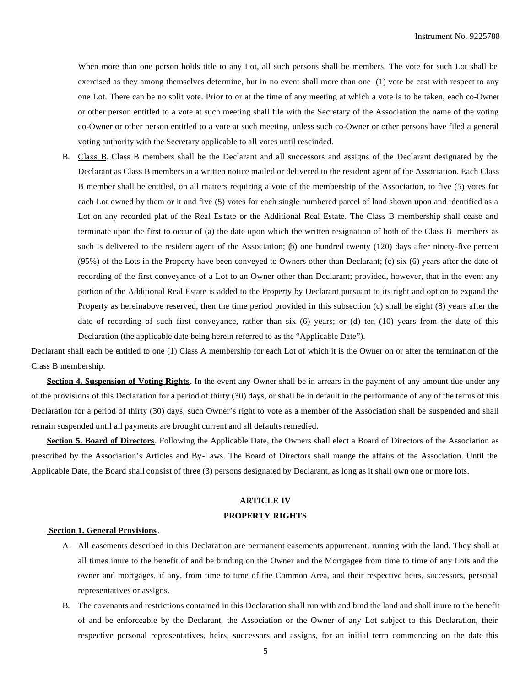When more than one person holds title to any Lot, all such persons shall be members. The vote for such Lot shall be exercised as they among themselves determine, but in no event shall more than one (1) vote be cast with respect to any one Lot. There can be no split vote. Prior to or at the time of any meeting at which a vote is to be taken, each co-Owner or other person entitled to a vote at such meeting shall file with the Secretary of the Association the name of the voting co-Owner or other person entitled to a vote at such meeting, unless such co-Owner or other persons have filed a general voting authority with the Secretary applicable to all votes until rescinded.

B. Class B. Class B members shall be the Declarant and all successors and assigns of the Declarant designated by the Declarant as Class B members in a written notice mailed or delivered to the resident agent of the Association. Each Class B member shall be entitled, on all matters requiring a vote of the membership of the Association, to five (5) votes for each Lot owned by them or it and five (5) votes for each single numbered parcel of land shown upon and identified as a Lot on any recorded plat of the Real Estate or the Additional Real Estate. The Class B membership shall cease and terminate upon the first to occur of (a) the date upon which the written resignation of both of the Class B members as such is delivered to the resident agent of the Association; (b) one hundred twenty (120) days after ninety-five percent (95%) of the Lots in the Property have been conveyed to Owners other than Declarant; (c) six (6) years after the date of recording of the first conveyance of a Lot to an Owner other than Declarant; provided, however, that in the event any portion of the Additional Real Estate is added to the Property by Declarant pursuant to its right and option to expand the Property as hereinabove reserved, then the time period provided in this subsection (c) shall be eight (8) years after the date of recording of such first conveyance, rather than six (6) years; or (d) ten (10) years from the date of this Declaration (the applicable date being herein referred to as the "Applicable Date").

Declarant shall each be entitled to one (1) Class A membership for each Lot of which it is the Owner on or after the termination of the Class B membership.

**Section 4. Suspension of Voting Rights**. In the event any Owner shall be in arrears in the payment of any amount due under any of the provisions of this Declaration for a period of thirty (30) days, or shall be in default in the performance of any of the terms of this Declaration for a period of thirty (30) days, such Owner's right to vote as a member of the Association shall be suspended and shall remain suspended until all payments are brought current and all defaults remedied.

**Section 5. Board of Directors**. Following the Applicable Date, the Owners shall elect a Board of Directors of the Association as prescribed by the Association's Articles and By-Laws. The Board of Directors shall mange the affairs of the Association. Until the Applicable Date, the Board shall consist of three (3) persons designated by Declarant, as long as it shall own one or more lots.

# **ARTICLE IV PROPERTY RIGHTS**

#### **Section 1. General Provisions**.

- A. All easements described in this Declaration are permanent easements appurtenant, running with the land. They shall at all times inure to the benefit of and be binding on the Owner and the Mortgagee from time to time of any Lots and the owner and mortgages, if any, from time to time of the Common Area, and their respective heirs, successors, personal representatives or assigns.
- B. The covenants and restrictions contained in this Declaration shall run with and bind the land and shall inure to the benefit of and be enforceable by the Declarant, the Association or the Owner of any Lot subject to this Declaration, their respective personal representatives, heirs, successors and assigns, for an initial term commencing on the date this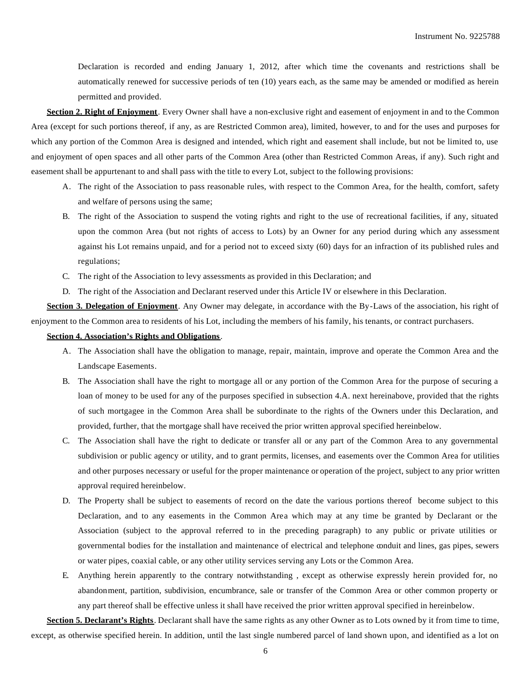Declaration is recorded and ending January 1, 2012, after which time the covenants and restrictions shall be automatically renewed for successive periods of ten (10) years each, as the same may be amended or modified as herein permitted and provided.

**Section 2. Right of Enjoyment**. Every Owner shall have a non-exclusive right and easement of enjoyment in and to the Common Area (except for such portions thereof, if any, as are Restricted Common area), limited, however, to and for the uses and purposes for which any portion of the Common Area is designed and intended, which right and easement shall include, but not be limited to, use and enjoyment of open spaces and all other parts of the Common Area (other than Restricted Common Areas, if any). Such right and easement shall be appurtenant to and shall pass with the title to every Lot, subject to the following provisions:

- A. The right of the Association to pass reasonable rules, with respect to the Common Area, for the health, comfort, safety and welfare of persons using the same;
- B. The right of the Association to suspend the voting rights and right to the use of recreational facilities, if any, situated upon the common Area (but not rights of access to Lots) by an Owner for any period during which any assessment against his Lot remains unpaid, and for a period not to exceed sixty (60) days for an infraction of its published rules and regulations;
- C. The right of the Association to levy assessments as provided in this Declaration; and
- D. The right of the Association and Declarant reserved under this Article IV or elsewhere in this Declaration.

**Section 3. Delegation of Enjoyment**. Any Owner may delegate, in accordance with the By-Laws of the association, his right of enjoyment to the Common area to residents of his Lot, including the members of his family, his tenants, or contract purchasers.

#### **Section 4. Association's Rights and Obligations**.

- A. The Association shall have the obligation to manage, repair, maintain, improve and operate the Common Area and the Landscape Easements.
- B. The Association shall have the right to mortgage all or any portion of the Common Area for the purpose of securing a loan of money to be used for any of the purposes specified in subsection 4.A. next hereinabove, provided that the rights of such mortgagee in the Common Area shall be subordinate to the rights of the Owners under this Declaration, and provided, further, that the mortgage shall have received the prior written approval specified hereinbelow.
- C. The Association shall have the right to dedicate or transfer all or any part of the Common Area to any governmental subdivision or public agency or utility, and to grant permits, licenses, and easements over the Common Area for utilities and other purposes necessary or useful for the proper maintenance or operation of the project, subject to any prior written approval required hereinbelow.
- D. The Property shall be subject to easements of record on the date the various portions thereof become subject to this Declaration, and to any easements in the Common Area which may at any time be granted by Declarant or the Association (subject to the approval referred to in the preceding paragraph) to any public or private utilities or governmental bodies for the installation and maintenance of electrical and telephone conduit and lines, gas pipes, sewers or water pipes, coaxial cable, or any other utility services serving any Lots or the Common Area.
- E. Anything herein apparently to the contrary notwithstanding , except as otherwise expressly herein provided for, no abandonment, partition, subdivision, encumbrance, sale or transfer of the Common Area or other common property or any part thereof shall be effective unless it shall have received the prior written approval specified in hereinbelow.

**Section 5. Declarant's Rights**. Declarant shall have the same rights as any other Owner as to Lots owned by it from time to time, except, as otherwise specified herein. In addition, until the last single numbered parcel of land shown upon, and identified as a lot on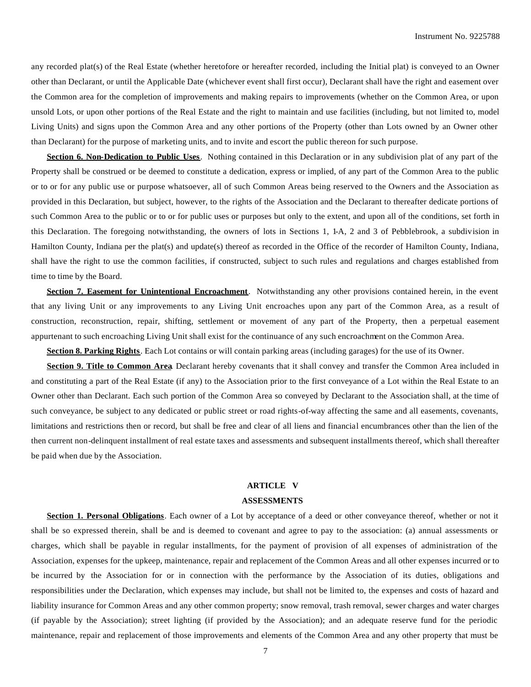any recorded plat(s) of the Real Estate (whether heretofore or hereafter recorded, including the Initial plat) is conveyed to an Owner other than Declarant, or until the Applicable Date (whichever event shall first occur), Declarant shall have the right and easement over the Common area for the completion of improvements and making repairs to improvements (whether on the Common Area, or upon unsold Lots, or upon other portions of the Real Estate and the right to maintain and use facilities (including, but not limited to, model Living Units) and signs upon the Common Area and any other portions of the Property (other than Lots owned by an Owner other than Declarant) for the purpose of marketing units, and to invite and escort the public thereon for such purpose.

**Section 6. Non-Dedication to Public Uses**. Nothing contained in this Declaration or in any subdivision plat of any part of the Property shall be construed or be deemed to constitute a dedication, express or implied, of any part of the Common Area to the public or to or for any public use or purpose whatsoever, all of such Common Areas being reserved to the Owners and the Association as provided in this Declaration, but subject, however, to the rights of the Association and the Declarant to thereafter dedicate portions of such Common Area to the public or to or for public uses or purposes but only to the extent, and upon all of the conditions, set forth in this Declaration. The foregoing notwithstanding, the owners of lots in Sections 1, 1-A, 2 and 3 of Pebblebrook, a subdivision in Hamilton County, Indiana per the plat(s) and update(s) thereof as recorded in the Office of the recorder of Hamilton County, Indiana, shall have the right to use the common facilities, if constructed, subject to such rules and regulations and charges established from time to time by the Board.

**Section 7. Easement for Unintentional Encroachment**. Notwithstanding any other provisions contained herein, in the event that any living Unit or any improvements to any Living Unit encroaches upon any part of the Common Area, as a result of construction, reconstruction, repair, shifting, settlement or movement of any part of the Property, then a perpetual easement appurtenant to such encroaching Living Unit shall exist for the continuance of any such encroachment on the Common Area.

**Section 8. Parking Rights**. Each Lot contains or will contain parking areas (including garages) for the use of its Owner.

**Section 9. Title to Common Area**. Declarant hereby covenants that it shall convey and transfer the Common Area included in and constituting a part of the Real Estate (if any) to the Association prior to the first conveyance of a Lot within the Real Estate to an Owner other than Declarant. Each such portion of the Common Area so conveyed by Declarant to the Association shall, at the time of such conveyance, be subject to any dedicated or public street or road rights-of-way affecting the same and all easements, covenants, limitations and restrictions then or record, but shall be free and clear of all liens and financial encumbrances other than the lien of the then current non-delinquent installment of real estate taxes and assessments and subsequent installments thereof, which shall thereafter be paid when due by the Association.

#### **ARTICLE V**

## **ASSESSMENTS**

**Section 1. Personal Obligations**. Each owner of a Lot by acceptance of a deed or other conveyance thereof, whether or not it shall be so expressed therein, shall be and is deemed to covenant and agree to pay to the association: (a) annual assessments or charges, which shall be payable in regular installments, for the payment of provision of all expenses of administration of the Association, expenses for the upkeep, maintenance, repair and replacement of the Common Areas and all other expenses incurred or to be incurred by the Association for or in connection with the performance by the Association of its duties, obligations and responsibilities under the Declaration, which expenses may include, but shall not be limited to, the expenses and costs of hazard and liability insurance for Common Areas and any other common property; snow removal, trash removal, sewer charges and water charges (if payable by the Association); street lighting (if provided by the Association); and an adequate reserve fund for the periodic maintenance, repair and replacement of those improvements and elements of the Common Area and any other property that must be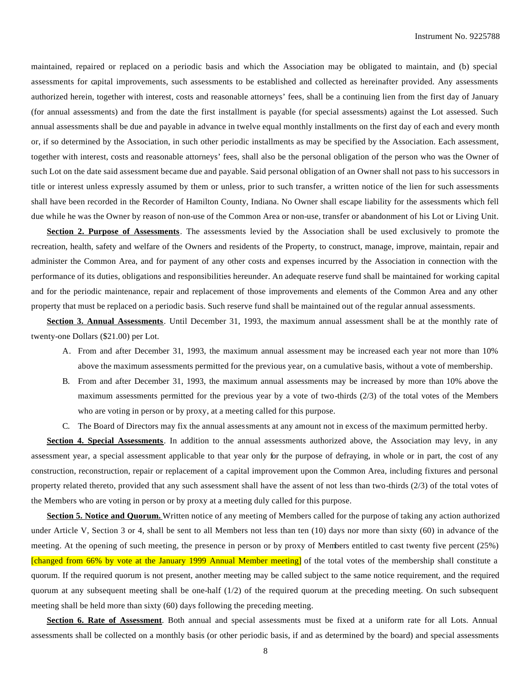maintained, repaired or replaced on a periodic basis and which the Association may be obligated to maintain, and (b) special assessments for capital improvements, such assessments to be established and collected as hereinafter provided. Any assessments authorized herein, together with interest, costs and reasonable attorneys' fees, shall be a continuing lien from the first day of January (for annual assessments) and from the date the first installment is payable (for special assessments) against the Lot assessed. Such annual assessments shall be due and payable in advance in twelve equal monthly installments on the first day of each and every month or, if so determined by the Association, in such other periodic installments as may be specified by the Association. Each assessment, together with interest, costs and reasonable attorneys' fees, shall also be the personal obligation of the person who was the Owner of such Lot on the date said assessment became due and payable. Said personal obligation of an Owner shall not pass to his successors in title or interest unless expressly assumed by them or unless, prior to such transfer, a written notice of the lien for such assessments shall have been recorded in the Recorder of Hamilton County, Indiana. No Owner shall escape liability for the assessments which fell due while he was the Owner by reason of non-use of the Common Area or non-use, transfer or abandonment of his Lot or Living Unit.

**Section 2. Purpose of Assessments**. The assessments levied by the Association shall be used exclusively to promote the recreation, health, safety and welfare of the Owners and residents of the Property, to construct, manage, improve, maintain, repair and administer the Common Area, and for payment of any other costs and expenses incurred by the Association in connection with the performance of its duties, obligations and responsibilities hereunder. An adequate reserve fund shall be maintained for working capital and for the periodic maintenance, repair and replacement of those improvements and elements of the Common Area and any other property that must be replaced on a periodic basis. Such reserve fund shall be maintained out of the regular annual assessments.

**Section 3. Annual Assessments**. Until December 31, 1993, the maximum annual assessment shall be at the monthly rate of twenty-one Dollars (\$21.00) per Lot.

- A. From and after December 31, 1993, the maximum annual assessment may be increased each year not more than 10% above the maximum assessments permitted for the previous year, on a cumulative basis, without a vote of membership.
- B. From and after December 31, 1993, the maximum annual assessments may be increased by more than 10% above the maximum assessments permitted for the previous year by a vote of two-thirds (2/3) of the total votes of the Members who are voting in person or by proxy, at a meeting called for this purpose.
- C. The Board of Directors may fix the annual assessments at any amount not in excess of the maximum permitted herby.

**Section 4. Special Assessments**. In addition to the annual assessments authorized above, the Association may levy, in any assessment year, a special assessment applicable to that year only for the purpose of defraying, in whole or in part, the cost of any construction, reconstruction, repair or replacement of a capital improvement upon the Common Area, including fixtures and personal property related thereto, provided that any such assessment shall have the assent of not less than two-thirds (2/3) of the total votes of the Members who are voting in person or by proxy at a meeting duly called for this purpose.

**Section 5. Notice and Quorum.** Written notice of any meeting of Members called for the purpose of taking any action authorized under Article V, Section 3 or 4, shall be sent to all Members not less than ten (10) days nor more than sixty (60) in advance of the meeting. At the opening of such meeting, the presence in person or by proxy of Members entitled to cast twenty five percent (25%) [changed from 66% by vote at the January 1999 Annual Member meeting] of the total votes of the membership shall constitute a quorum. If the required quorum is not present, another meeting may be called subject to the same notice requirement, and the required quorum at any subsequent meeting shall be one-half  $(1/2)$  of the required quorum at the preceding meeting. On such subsequent meeting shall be held more than sixty (60) days following the preceding meeting.

**Section 6. Rate of Assessment**. Both annual and special assessments must be fixed at a uniform rate for all Lots. Annual assessments shall be collected on a monthly basis (or other periodic basis, if and as determined by the board) and special assessments

8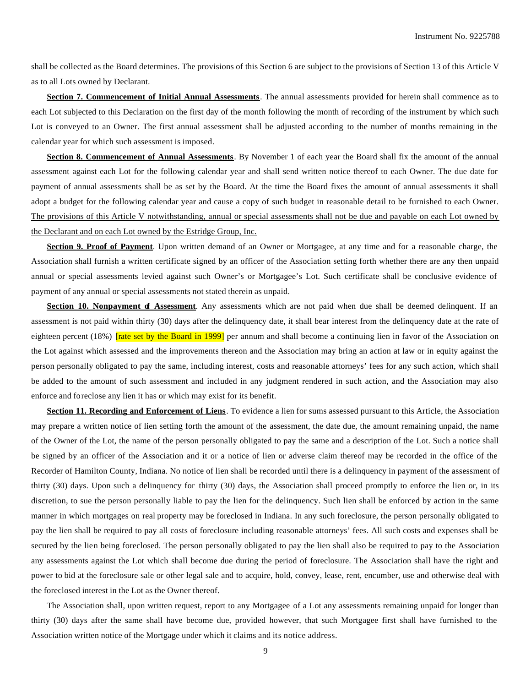shall be collected as the Board determines. The provisions of this Section 6 are subject to the provisions of Section 13 of this Article V as to all Lots owned by Declarant.

**Section 7. Commencement of Initial Annual Assessments**. The annual assessments provided for herein shall commence as to each Lot subjected to this Declaration on the first day of the month following the month of recording of the instrument by which such Lot is conveyed to an Owner. The first annual assessment shall be adjusted according to the number of months remaining in the calendar year for which such assessment is imposed.

**Section 8. Commencement of Annual Assessments**. By November 1 of each year the Board shall fix the amount of the annual assessment against each Lot for the following calendar year and shall send written notice thereof to each Owner. The due date for payment of annual assessments shall be as set by the Board. At the time the Board fixes the amount of annual assessments it shall adopt a budget for the following calendar year and cause a copy of such budget in reasonable detail to be furnished to each Owner. The provisions of this Article V notwithstanding, annual or special assessments shall not be due and payable on each Lot owned by the Declarant and on each Lot owned by the Estridge Group, Inc.

**Section 9. Proof of Payment**. Upon written demand of an Owner or Mortgagee, at any time and for a reasonable charge, the Association shall furnish a written certificate signed by an officer of the Association setting forth whether there are any then unpaid annual or special assessments levied against such Owner's or Mortgagee's Lot. Such certificate shall be conclusive evidence of payment of any annual or special assessments not stated therein as unpaid.

**Section 10. Nonpayment of Assessment.** Any assessments which are not paid when due shall be deemed delinquent. If an assessment is not paid within thirty (30) days after the delinquency date, it shall bear interest from the delinquency date at the rate of eighteen percent (18%) *[rate set by the Board in 1999]* per annum and shall become a continuing lien in favor of the Association on the Lot against which assessed and the improvements thereon and the Association may bring an action at law or in equity against the person personally obligated to pay the same, including interest, costs and reasonable attorneys' fees for any such action, which shall be added to the amount of such assessment and included in any judgment rendered in such action, and the Association may also enforce and foreclose any lien it has or which may exist for its benefit.

**Section 11. Recording and Enforcement of Liens**. To evidence a lien for sums assessed pursuant to this Article, the Association may prepare a written notice of lien setting forth the amount of the assessment, the date due, the amount remaining unpaid, the name of the Owner of the Lot, the name of the person personally obligated to pay the same and a description of the Lot. Such a notice shall be signed by an officer of the Association and it or a notice of lien or adverse claim thereof may be recorded in the office of the Recorder of Hamilton County, Indiana. No notice of lien shall be recorded until there is a delinquency in payment of the assessment of thirty (30) days. Upon such a delinquency for thirty (30) days, the Association shall proceed promptly to enforce the lien or, in its discretion, to sue the person personally liable to pay the lien for the delinquency. Such lien shall be enforced by action in the same manner in which mortgages on real property may be foreclosed in Indiana. In any such foreclosure, the person personally obligated to pay the lien shall be required to pay all costs of foreclosure including reasonable attorneys' fees. All such costs and expenses shall be secured by the lien being foreclosed. The person personally obligated to pay the lien shall also be required to pay to the Association any assessments against the Lot which shall become due during the period of foreclosure. The Association shall have the right and power to bid at the foreclosure sale or other legal sale and to acquire, hold, convey, lease, rent, encumber, use and otherwise deal with the foreclosed interest in the Lot as the Owner thereof.

The Association shall, upon written request, report to any Mortgagee of a Lot any assessments remaining unpaid for longer than thirty (30) days after the same shall have become due, provided however, that such Mortgagee first shall have furnished to the Association written notice of the Mortgage under which it claims and its notice address.

9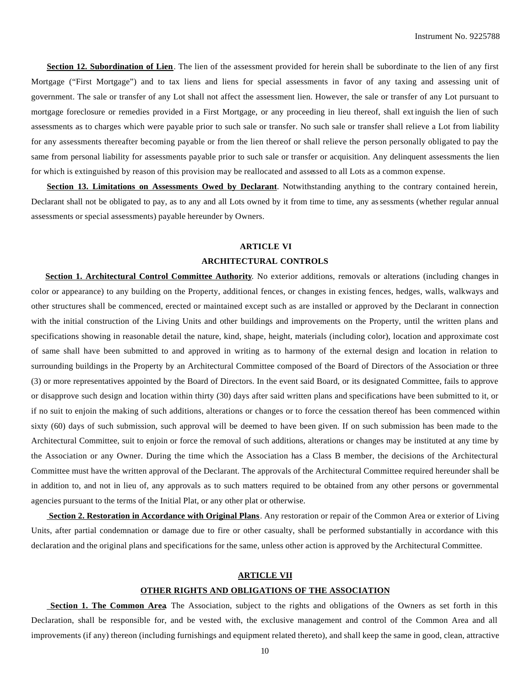**Section 12. Subordination of Lien**. The lien of the assessment provided for herein shall be subordinate to the lien of any first Mortgage ("First Mortgage") and to tax liens and liens for special assessments in favor of any taxing and assessing unit of government. The sale or transfer of any Lot shall not affect the assessment lien. However, the sale or transfer of any Lot pursuant to mortgage foreclosure or remedies provided in a First Mortgage, or any proceeding in lieu thereof, shall ext inguish the lien of such assessments as to charges which were payable prior to such sale or transfer. No such sale or transfer shall relieve a Lot from liability for any assessments thereafter becoming payable or from the lien thereof or shall relieve the person personally obligated to pay the same from personal liability for assessments payable prior to such sale or transfer or acquisition. Any delinquent assessments the lien for which is extinguished by reason of this provision may be reallocated and assessed to all Lots as a common expense.

**Section 13. Limitations on Assessments Owed by Declarant**. Notwithstanding anything to the contrary contained herein, Declarant shall not be obligated to pay, as to any and all Lots owned by it from time to time, any assessments (whether regular annual assessments or special assessments) payable hereunder by Owners.

# **ARTICLE VI ARCHITECTURAL CONTROLS**

**Section 1. Architectural Control Committee Authority**. No exterior additions, removals or alterations (including changes in color or appearance) to any building on the Property, additional fences, or changes in existing fences, hedges, walls, walkways and other structures shall be commenced, erected or maintained except such as are installed or approved by the Declarant in connection with the initial construction of the Living Units and other buildings and improvements on the Property, until the written plans and specifications showing in reasonable detail the nature, kind, shape, height, materials (including color), location and approximate cost of same shall have been submitted to and approved in writing as to harmony of the external design and location in relation to surrounding buildings in the Property by an Architectural Committee composed of the Board of Directors of the Association or three (3) or more representatives appointed by the Board of Directors. In the event said Board, or its designated Committee, fails to approve or disapprove such design and location within thirty (30) days after said written plans and specifications have been submitted to it, or if no suit to enjoin the making of such additions, alterations or changes or to force the cessation thereof has been commenced within sixty (60) days of such submission, such approval will be deemed to have been given. If on such submission has been made to the Architectural Committee, suit to enjoin or force the removal of such additions, alterations or changes may be instituted at any time by the Association or any Owner. During the time which the Association has a Class B member, the decisions of the Architectural Committee must have the written approval of the Declarant. The approvals of the Architectural Committee required hereunder shall be in addition to, and not in lieu of, any approvals as to such matters required to be obtained from any other persons or governmental agencies pursuant to the terms of the Initial Plat, or any other plat or otherwise.

 **Section 2. Restoration in Accordance with Original Plans**. Any restoration or repair of the Common Area or exterior of Living Units, after partial condemnation or damage due to fire or other casualty, shall be performed substantially in accordance with this declaration and the original plans and specifications for the same, unless other action is approved by the Architectural Committee.

#### **ARTICLE VII**

### **OTHER RIGHTS AND OBLIGATIONS OF THE ASSOCIATION**

**Section 1. The Common Area**. The Association, subject to the rights and obligations of the Owners as set forth in this Declaration, shall be responsible for, and be vested with, the exclusive management and control of the Common Area and all improvements (if any) thereon (including furnishings and equipment related thereto), and shall keep the same in good, clean, attractive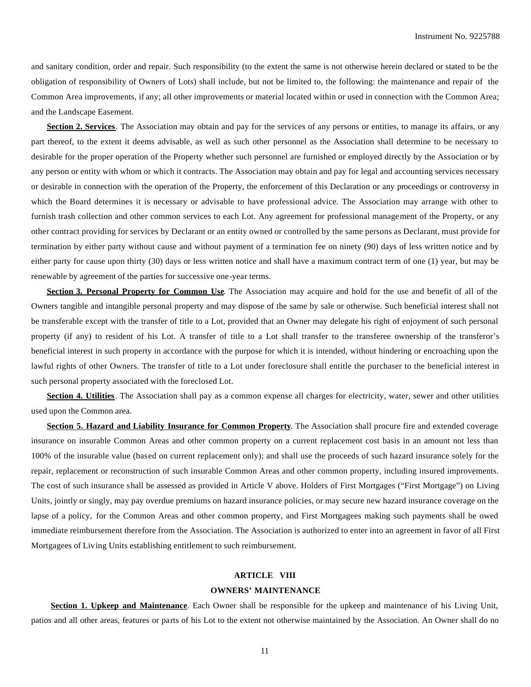and sanitary condition, order and repair. Such responsibility (to the extent the same is not otherwise herein declared or stated to be the obligation of responsibility of Owners of Lots) shall include, but not be limited to, the following: the maintenance and repair of the Common Area improvements, if any; all other improvements or material located within or used in connection with the Common Area; and the Landscape Easement.

**Section 2. Services**. The Association may obtain and pay for the services of any persons or entities, to manage its affairs, or any part thereof, to the extent it deems advisable, as well as such other personnel as the Association shall determine to be necessary to desirable for the proper operation of the Property whether such personnel are furnished or employed directly by the Association or by any person or entity with whom or which it contracts. The Association may obtain and pay for legal and accounting services necessary or desirable in connection with the operation of the Property, the enforcement of this Declaration or any proceedings or controversy in which the Board determines it is necessary or advisable to have professional advice. The Association may arrange with other to furnish trash collection and other common services to each Lot. Any agreement for professional management of the Property, or any other contract providing for services by Declarant or an entity owned or controlled by the same persons as Declarant, must provide for termination by either party without cause and without payment of a termination fee on ninety (90) days of less written notice and by either party for cause upon thirty (30) days or less written notice and shall have a maximum contract term of one (1) year, but may be renewable by agreement of the parties for successive one-year terms.

**Section 3. Personal Property for Common Use**. The Association may acquire and hold for the use and benefit of all of the Owners tangible and intangible personal property and may dispose of the same by sale or otherwise. Such beneficial interest shall not be transferable except with the transfer of title to a Lot, provided that an Owner may delegate his right of enjoyment of such personal property (if any) to resident of his Lot. A transfer of title to a Lot shall transfer to the transferee ownership of the transferor's beneficial interest in such property in accordance with the purpose for which it is intended, without hindering or encroaching upon the lawful rights of other Owners. The transfer of title to a Lot under foreclosure shall entitle the purchaser to the beneficial interest in such personal property associated with the foreclosed Lot.

**Section 4. Utilities**. The Association shall pay as a common expense all charges for electricity, water, sewer and other utilities used upon the Common area.

**Section 5. Hazard and Liability Insurance for Common Property**. The Association shall procure fire and extended coverage insurance on insurable Common Areas and other common property on a current replacement cost basis in an amount not less than 100% of the insurable value (based on current replacement only); and shall use the proceeds of such hazard insurance solely for the repair, replacement or reconstruction of such insurable Common Areas and other common property, including insured improvements. The cost of such insurance shall be assessed as provided in Article V above. Holders of First Mortgages ("First Mortgage") on Living Units, jointly or singly, may pay overdue premiums on hazard insurance policies, or may secure new hazard insurance coverage on the lapse of a policy, for the Common Areas and other common property, and First Mortgagees making such payments shall be owed immediate reimbursement therefore from the Association. The Association is authorized to enter into an agreement in favor of all First Mortgagees of Living Units establishing entitlement to such reimbursement.

## **ARTICLE VIII**

#### **OWNERS' MAINTENANCE**

 **Section 1. Upkeep and Maintenance**. Each Owner shall be responsible for the upkeep and maintenance of his Living Unit, patios and all other areas, features or parts of his Lot to the extent not otherwise maintained by the Association. An Owner shall do no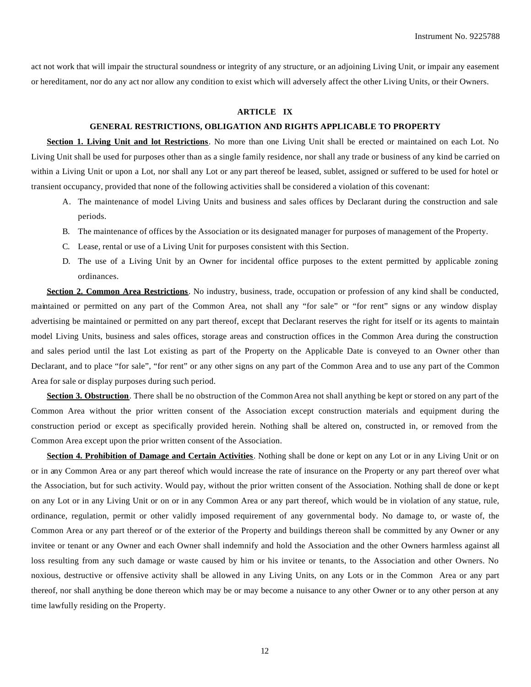act not work that will impair the structural soundness or integrity of any structure, or an adjoining Living Unit, or impair any easement or hereditament, nor do any act nor allow any condition to exist which will adversely affect the other Living Units, or their Owners.

## **ARTICLE IX**

#### **GENERAL RESTRICTIONS, OBLIGATION AND RIGHTS APPLICABLE TO PROPERTY**

**Section 1. Living Unit and lot Restrictions**. No more than one Living Unit shall be erected or maintained on each Lot. No Living Unit shall be used for purposes other than as a single family residence, nor shall any trade or business of any kind be carried on within a Living Unit or upon a Lot, nor shall any Lot or any part thereof be leased, sublet, assigned or suffered to be used for hotel or transient occupancy, provided that none of the following activities shall be considered a violation of this covenant:

- A. The maintenance of model Living Units and business and sales offices by Declarant during the construction and sale periods.
- B. The maintenance of offices by the Association or its designated manager for purposes of management of the Property.
- C. Lease, rental or use of a Living Unit for purposes consistent with this Section.
- D. The use of a Living Unit by an Owner for incidental office purposes to the extent permitted by applicable zoning ordinances.

**Section 2. Common Area Restrictions**. No industry, business, trade, occupation or profession of any kind shall be conducted, maintained or permitted on any part of the Common Area, not shall any "for sale" or "for rent" signs or any window display advertising be maintained or permitted on any part thereof, except that Declarant reserves the right for itself or its agents to maintain model Living Units, business and sales offices, storage areas and construction offices in the Common Area during the construction and sales period until the last Lot existing as part of the Property on the Applicable Date is conveyed to an Owner other than Declarant, and to place "for sale", "for rent" or any other signs on any part of the Common Area and to use any part of the Common Area for sale or display purposes during such period.

**Section 3. Obstruction**. There shall be no obstruction of the Common Area not shall anything be kept or stored on any part of the Common Area without the prior written consent of the Association except construction materials and equipment during the construction period or except as specifically provided herein. Nothing shall be altered on, constructed in, or removed from the Common Area except upon the prior written consent of the Association.

**Section 4. Prohibition of Damage and Certain Activities**. Nothing shall be done or kept on any Lot or in any Living Unit or on or in any Common Area or any part thereof which would increase the rate of insurance on the Property or any part thereof over what the Association, but for such activity. Would pay, without the prior written consent of the Association. Nothing shall de done or kept on any Lot or in any Living Unit or on or in any Common Area or any part thereof, which would be in violation of any statue, rule, ordinance, regulation, permit or other validly imposed requirement of any governmental body. No damage to, or waste of, the Common Area or any part thereof or of the exterior of the Property and buildings thereon shall be committed by any Owner or any invitee or tenant or any Owner and each Owner shall indemnify and hold the Association and the other Owners harmless against all loss resulting from any such damage or waste caused by him or his invitee or tenants, to the Association and other Owners. No noxious, destructive or offensive activity shall be allowed in any Living Units, on any Lots or in the Common Area or any part thereof, nor shall anything be done thereon which may be or may become a nuisance to any other Owner or to any other person at any time lawfully residing on the Property.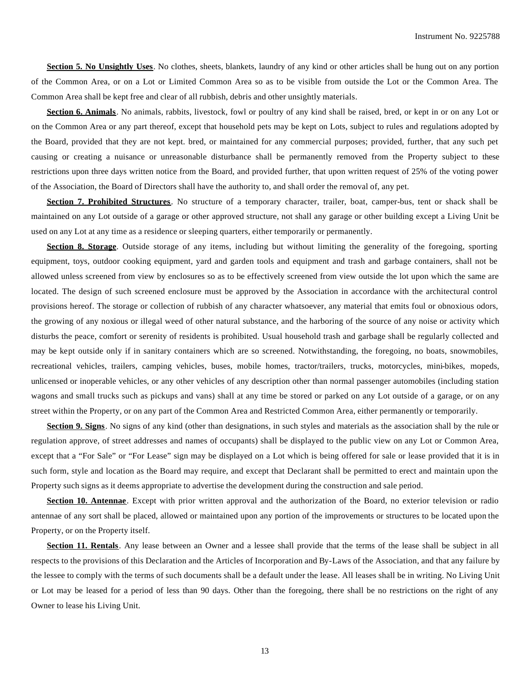**Section 5. No Unsightly Uses**. No clothes, sheets, blankets, laundry of any kind or other articles shall be hung out on any portion of the Common Area, or on a Lot or Limited Common Area so as to be visible from outside the Lot or the Common Area. The Common Area shall be kept free and clear of all rubbish, debris and other unsightly materials.

**Section 6. Animals**. No animals, rabbits, livestock, fowl or poultry of any kind shall be raised, bred, or kept in or on any Lot or on the Common Area or any part thereof, except that household pets may be kept on Lots, subject to rules and regulations adopted by the Board, provided that they are not kept. bred, or maintained for any commercial purposes; provided, further, that any such pet causing or creating a nuisance or unreasonable disturbance shall be permanently removed from the Property subject to these restrictions upon three days written notice from the Board, and provided further, that upon written request of 25% of the voting power of the Association, the Board of Directors shall have the authority to, and shall order the removal of, any pet.

**Section 7. Prohibited Structures**. No structure of a temporary character, trailer, boat, camper-bus, tent or shack shall be maintained on any Lot outside of a garage or other approved structure, not shall any garage or other building except a Living Unit be used on any Lot at any time as a residence or sleeping quarters, either temporarily or permanently.

**Section 8. Storage**. Outside storage of any items, including but without limiting the generality of the foregoing, sporting equipment, toys, outdoor cooking equipment, yard and garden tools and equipment and trash and garbage containers, shall not be allowed unless screened from view by enclosures so as to be effectively screened from view outside the lot upon which the same are located. The design of such screened enclosure must be approved by the Association in accordance with the architectural control provisions hereof. The storage or collection of rubbish of any character whatsoever, any material that emits foul or obnoxious odors, the growing of any noxious or illegal weed of other natural substance, and the harboring of the source of any noise or activity which disturbs the peace, comfort or serenity of residents is prohibited. Usual household trash and garbage shall be regularly collected and may be kept outside only if in sanitary containers which are so screened. Notwithstanding, the foregoing, no boats, snowmobiles, recreational vehicles, trailers, camping vehicles, buses, mobile homes, tractor/trailers, trucks, motorcycles, mini-bikes, mopeds, unlicensed or inoperable vehicles, or any other vehicles of any description other than normal passenger automobiles (including station wagons and small trucks such as pickups and vans) shall at any time be stored or parked on any Lot outside of a garage, or on any street within the Property, or on any part of the Common Area and Restricted Common Area, either permanently or temporarily.

**Section 9. Signs**. No signs of any kind (other than designations, in such styles and materials as the association shall by the rule or regulation approve, of street addresses and names of occupants) shall be displayed to the public view on any Lot or Common Area, except that a "For Sale" or "For Lease" sign may be displayed on a Lot which is being offered for sale or lease provided that it is in such form, style and location as the Board may require, and except that Declarant shall be permitted to erect and maintain upon the Property such signs as it deems appropriate to advertise the development during the construction and sale period.

**Section 10. Antennae**. Except with prior written approval and the authorization of the Board, no exterior television or radio antennae of any sort shall be placed, allowed or maintained upon any portion of the improvements or structures to be located upon the Property, or on the Property itself.

**Section 11. Rentals**. Any lease between an Owner and a lessee shall provide that the terms of the lease shall be subject in all respects to the provisions of this Declaration and the Articles of Incorporation and By-Laws of the Association, and that any failure by the lessee to comply with the terms of such documents shall be a default under the lease. All leases shall be in writing. No Living Unit or Lot may be leased for a period of less than 90 days. Other than the foregoing, there shall be no restrictions on the right of any Owner to lease his Living Unit.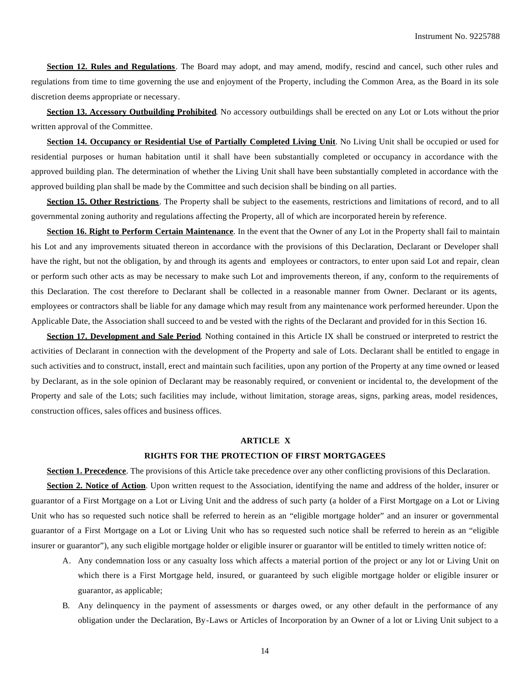**Section 12. Rules and Regulations**. The Board may adopt, and may amend, modify, rescind and cancel, such other rules and regulations from time to time governing the use and enjoyment of the Property, including the Common Area, as the Board in its sole discretion deems appropriate or necessary.

**Section 13. Accessory Outbuilding Prohibited**. No accessory outbuildings shall be erected on any Lot or Lots without the prior written approval of the Committee.

**Section 14. Occupancy or Residential Use of Partially Completed Living Unit**. No Living Unit shall be occupied or used for residential purposes or human habitation until it shall have been substantially completed or occupancy in accordance with the approved building plan. The determination of whether the Living Unit shall have been substantially completed in accordance with the approved building plan shall be made by the Committee and such decision shall be binding on all parties.

**Section 15. Other Restrictions**. The Property shall be subject to the easements, restrictions and limitations of record, and to all governmental zoning authority and regulations affecting the Property, all of which are incorporated herein by reference.

**Section 16. Right to Perform Certain Maintenance**. In the event that the Owner of any Lot in the Property shall fail to maintain his Lot and any improvements situated thereon in accordance with the provisions of this Declaration, Declarant or Developer shall have the right, but not the obligation, by and through its agents and employees or contractors, to enter upon said Lot and repair, clean or perform such other acts as may be necessary to make such Lot and improvements thereon, if any, conform to the requirements of this Declaration. The cost therefore to Declarant shall be collected in a reasonable manner from Owner. Declarant or its agents, employees or contractors shall be liable for any damage which may result from any maintenance work performed hereunder. Upon the Applicable Date, the Association shall succeed to and be vested with the rights of the Declarant and provided for in this Section 16.

**Section 17. Development and Sale Period**. Nothing contained in this Article IX shall be construed or interpreted to restrict the activities of Declarant in connection with the development of the Property and sale of Lots. Declarant shall be entitled to engage in such activities and to construct, install, erect and maintain such facilities, upon any portion of the Property at any time owned or leased by Declarant, as in the sole opinion of Declarant may be reasonably required, or convenient or incidental to, the development of the Property and sale of the Lots; such facilities may include, without limitation, storage areas, signs, parking areas, model residences, construction offices, sales offices and business offices.

#### **ARTICLE X**

#### **RIGHTS FOR THE PROTECTION OF FIRST MORTGAGEES**

**Section 1. Precedence**. The provisions of this Article take precedence over any other conflicting provisions of this Declaration.

**Section 2. Notice of Action**. Upon written request to the Association, identifying the name and address of the holder, insurer or guarantor of a First Mortgage on a Lot or Living Unit and the address of such party (a holder of a First Mortgage on a Lot or Living Unit who has so requested such notice shall be referred to herein as an "eligible mortgage holder" and an insurer or governmental guarantor of a First Mortgage on a Lot or Living Unit who has so requested such notice shall be referred to herein as an "eligible insurer or guarantor"), any such eligible mortgage holder or eligible insurer or guarantor will be entitled to timely written notice of:

- A. Any condemnation loss or any casualty loss which affects a material portion of the project or any lot or Living Unit on which there is a First Mortgage held, insured, or guaranteed by such eligible mortgage holder or eligible insurer or guarantor, as applicable;
- B. Any delinquency in the payment of assessments or darges owed, or any other default in the performance of any obligation under the Declaration, By-Laws or Articles of Incorporation by an Owner of a lot or Living Unit subject to a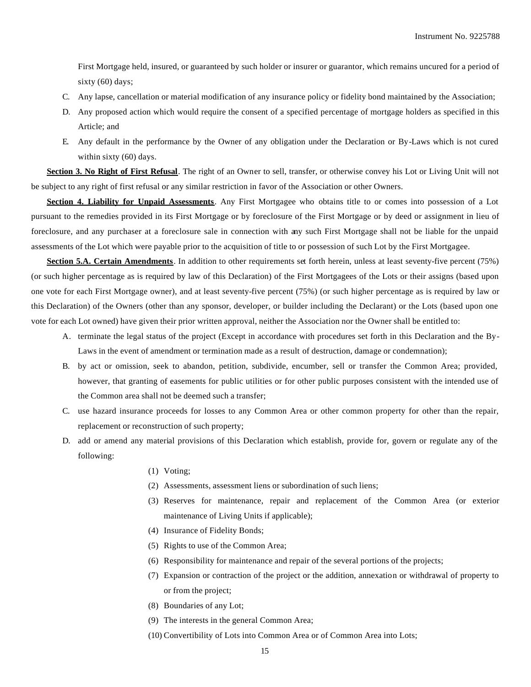First Mortgage held, insured, or guaranteed by such holder or insurer or guarantor, which remains uncured for a period of sixty (60) days;

- C. Any lapse, cancellation or material modification of any insurance policy or fidelity bond maintained by the Association;
- D. Any proposed action which would require the consent of a specified percentage of mortgage holders as specified in this Article; and
- E. Any default in the performance by the Owner of any obligation under the Declaration or By-Laws which is not cured within sixty (60) days.

**Section 3. No Right of First Refusal**. The right of an Owner to sell, transfer, or otherwise convey his Lot or Living Unit will not be subject to any right of first refusal or any similar restriction in favor of the Association or other Owners.

**Section 4. Liability for Unpaid Assessments**. Any First Mortgagee who obtains title to or comes into possession of a Lot pursuant to the remedies provided in its First Mortgage or by foreclosure of the First Mortgage or by deed or assignment in lieu of foreclosure, and any purchaser at a foreclosure sale in connection with any such First Mortgage shall not be liable for the unpaid assessments of the Lot which were payable prior to the acquisition of title to or possession of such Lot by the First Mortgagee.

**Section 5.A. Certain Amendments**. In addition to other requirements set forth herein, unless at least seventy-five percent (75%) (or such higher percentage as is required by law of this Declaration) of the First Mortgagees of the Lots or their assigns (based upon one vote for each First Mortgage owner), and at least seventy-five percent (75%) (or such higher percentage as is required by law or this Declaration) of the Owners (other than any sponsor, developer, or builder including the Declarant) or the Lots (based upon one vote for each Lot owned) have given their prior written approval, neither the Association nor the Owner shall be entitled to:

- A. terminate the legal status of the project (Except in accordance with procedures set forth in this Declaration and the By-Laws in the event of amendment or termination made as a result of destruction, damage or condemnation);
- B. by act or omission, seek to abandon, petition, subdivide, encumber, sell or transfer the Common Area; provided, however, that granting of easements for public utilities or for other public purposes consistent with the intended use of the Common area shall not be deemed such a transfer;
- C. use hazard insurance proceeds for losses to any Common Area or other common property for other than the repair, replacement or reconstruction of such property;
- D. add or amend any material provisions of this Declaration which establish, provide for, govern or regulate any of the following:
	- (1) Voting;
	- (2) Assessments, assessment liens or subordination of such liens;
	- (3) Reserves for maintenance, repair and replacement of the Common Area (or exterior maintenance of Living Units if applicable);
	- (4) Insurance of Fidelity Bonds;
	- (5) Rights to use of the Common Area;
	- (6) Responsibility for maintenance and repair of the several portions of the projects;
	- (7) Expansion or contraction of the project or the addition, annexation or withdrawal of property to or from the project;
	- (8) Boundaries of any Lot;
	- (9) The interests in the general Common Area;
	- (10) Convertibility of Lots into Common Area or of Common Area into Lots;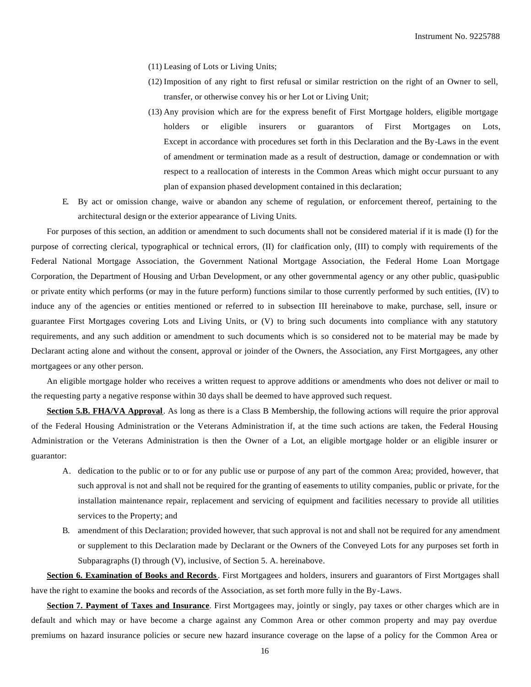- (11) Leasing of Lots or Living Units;
- (12) Imposition of any right to first refusal or similar restriction on the right of an Owner to sell, transfer, or otherwise convey his or her Lot or Living Unit;
- (13) Any provision which are for the express benefit of First Mortgage holders, eligible mortgage holders or eligible insurers or guarantors of First Mortgages on Lots, Except in accordance with procedures set forth in this Declaration and the By-Laws in the event of amendment or termination made as a result of destruction, damage or condemnation or with respect to a reallocation of interests in the Common Areas which might occur pursuant to any plan of expansion phased development contained in this declaration;
- E. By act or omission change, waive or abandon any scheme of regulation, or enforcement thereof, pertaining to the architectural design or the exterior appearance of Living Units.

For purposes of this section, an addition or amendment to such documents shall not be considered material if it is made (I) for the purpose of correcting clerical, typographical or technical errors, (II) for clarification only, (III) to comply with requirements of the Federal National Mortgage Association, the Government National Mortgage Association, the Federal Home Loan Mortgage Corporation, the Department of Housing and Urban Development, or any other governmental agency or any other public, quasi-public or private entity which performs (or may in the future perform) functions similar to those currently performed by such entities, (IV) to induce any of the agencies or entities mentioned or referred to in subsection III hereinabove to make, purchase, sell, insure or guarantee First Mortgages covering Lots and Living Units, or (V) to bring such documents into compliance with any statutory requirements, and any such addition or amendment to such documents which is so considered not to be material may be made by Declarant acting alone and without the consent, approval or joinder of the Owners, the Association, any First Mortgagees, any other mortgagees or any other person.

An eligible mortgage holder who receives a written request to approve additions or amendments who does not deliver or mail to the requesting party a negative response within 30 days shall be deemed to have approved such request.

**Section 5.B. FHA/VA Approval**. As long as there is a Class B Membership, the following actions will require the prior approval of the Federal Housing Administration or the Veterans Administration if, at the time such actions are taken, the Federal Housing Administration or the Veterans Administration is then the Owner of a Lot, an eligible mortgage holder or an eligible insurer or guarantor:

- A. dedication to the public or to or for any public use or purpose of any part of the common Area; provided, however, that such approval is not and shall not be required for the granting of easements to utility companies, public or private, for the installation maintenance repair, replacement and servicing of equipment and facilities necessary to provide all utilities services to the Property; and
- B. amendment of this Declaration; provided however, that such approval is not and shall not be required for any amendment or supplement to this Declaration made by Declarant or the Owners of the Conveyed Lots for any purposes set forth in Subparagraphs (I) through (V), inclusive, of Section 5. A. hereinabove.

**Section 6. Examination of Books and Records**. First Mortgagees and holders, insurers and guarantors of First Mortgages shall have the right to examine the books and records of the Association, as set forth more fully in the By-Laws.

**Section 7. Payment of Taxes and Insurance**. First Mortgagees may, jointly or singly, pay taxes or other charges which are in default and which may or have become a charge against any Common Area or other common property and may pay overdue premiums on hazard insurance policies or secure new hazard insurance coverage on the lapse of a policy for the Common Area or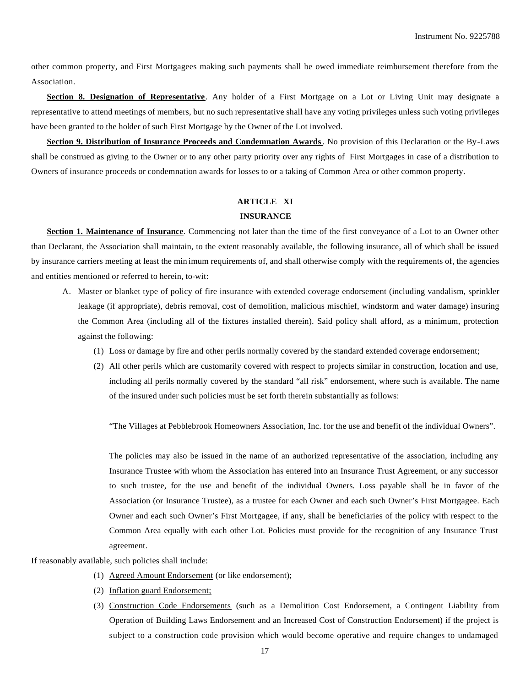other common property, and First Mortgagees making such payments shall be owed immediate reimbursement therefore from the Association.

**Section 8. Designation of Representative**. Any holder of a First Mortgage on a Lot or Living Unit may designate a representative to attend meetings of members, but no such representative shall have any voting privileges unless such voting privileges have been granted to the holder of such First Mortgage by the Owner of the Lot involved.

**Section 9. Distribution of Insurance Proceeds and Condemnation Awards**. No provision of this Declaration or the By-Laws shall be construed as giving to the Owner or to any other party priority over any rights of First Mortgages in case of a distribution to Owners of insurance proceeds or condemnation awards for losses to or a taking of Common Area or other common property.

## **ARTICLE XI**

#### **INSURANCE**

**Section 1. Maintenance of Insurance**. Commencing not later than the time of the first conveyance of a Lot to an Owner other than Declarant, the Association shall maintain, to the extent reasonably available, the following insurance, all of which shall be issued by insurance carriers meeting at least the min imum requirements of, and shall otherwise comply with the requirements of, the agencies and entities mentioned or referred to herein, to-wit:

- A. Master or blanket type of policy of fire insurance with extended coverage endorsement (including vandalism, sprinkler leakage (if appropriate), debris removal, cost of demolition, malicious mischief, windstorm and water damage) insuring the Common Area (including all of the fixtures installed therein). Said policy shall afford, as a minimum, protection against the following:
	- (1) Loss or damage by fire and other perils normally covered by the standard extended coverage endorsement;
	- (2) All other perils which are customarily covered with respect to projects similar in construction, location and use, including all perils normally covered by the standard "all risk" endorsement, where such is available. The name of the insured under such policies must be set forth therein substantially as follows:

"The Villages at Pebblebrook Homeowners Association, Inc. for the use and benefit of the individual Owners".

The policies may also be issued in the name of an authorized representative of the association, including any Insurance Trustee with whom the Association has entered into an Insurance Trust Agreement, or any successor to such trustee, for the use and benefit of the individual Owners. Loss payable shall be in favor of the Association (or Insurance Trustee), as a trustee for each Owner and each such Owner's First Mortgagee. Each Owner and each such Owner's First Mortgagee, if any, shall be beneficiaries of the policy with respect to the Common Area equally with each other Lot. Policies must provide for the recognition of any Insurance Trust agreement.

If reasonably available, such policies shall include:

- (1) Agreed Amount Endorsement (or like endorsement);
- (2) Inflation guard Endorsement;
- (3) Construction Code Endorsements (such as a Demolition Cost Endorsement, a Contingent Liability from Operation of Building Laws Endorsement and an Increased Cost of Construction Endorsement) if the project is subject to a construction code provision which would become operative and require changes to undamaged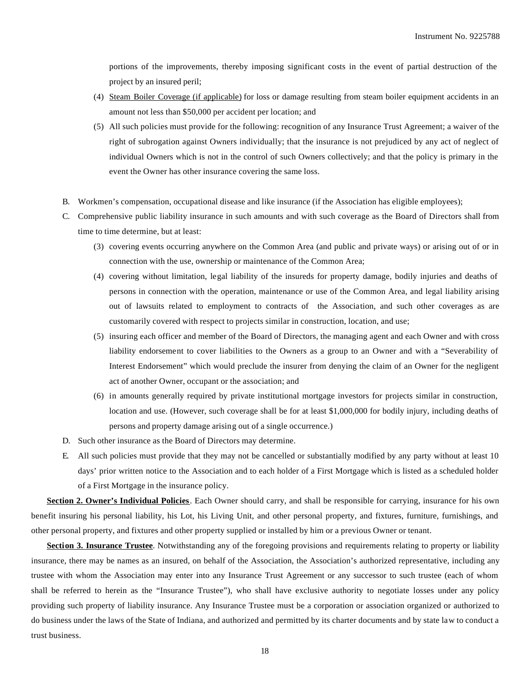portions of the improvements, thereby imposing significant costs in the event of partial destruction of the project by an insured peril;

- (4) Steam Boiler Coverage (if applicable) for loss or damage resulting from steam boiler equipment accidents in an amount not less than \$50,000 per accident per location; and
- (5) All such policies must provide for the following: recognition of any Insurance Trust Agreement; a waiver of the right of subrogation against Owners individually; that the insurance is not prejudiced by any act of neglect of individual Owners which is not in the control of such Owners collectively; and that the policy is primary in the event the Owner has other insurance covering the same loss.
- B. Workmen's compensation, occupational disease and like insurance (if the Association has eligible employees);
- C. Comprehensive public liability insurance in such amounts and with such coverage as the Board of Directors shall from time to time determine, but at least:
	- (3) covering events occurring anywhere on the Common Area (and public and private ways) or arising out of or in connection with the use, ownership or maintenance of the Common Area;
	- (4) covering without limitation, legal liability of the insureds for property damage, bodily injuries and deaths of persons in connection with the operation, maintenance or use of the Common Area, and legal liability arising out of lawsuits related to employment to contracts of the Association, and such other coverages as are customarily covered with respect to projects similar in construction, location, and use;
	- (5) insuring each officer and member of the Board of Directors, the managing agent and each Owner and with cross liability endorsement to cover liabilities to the Owners as a group to an Owner and with a "Severability of Interest Endorsement" which would preclude the insurer from denying the claim of an Owner for the negligent act of another Owner, occupant or the association; and
	- (6) in amounts generally required by private institutional mortgage investors for projects similar in construction, location and use. (However, such coverage shall be for at least \$1,000,000 for bodily injury, including deaths of persons and property damage arising out of a single occurrence.)
- D. Such other insurance as the Board of Directors may determine.
- E. All such policies must provide that they may not be cancelled or substantially modified by any party without at least 10 days' prior written notice to the Association and to each holder of a First Mortgage which is listed as a scheduled holder of a First Mortgage in the insurance policy.

**Section 2. Owner's Individual Policies**. Each Owner should carry, and shall be responsible for carrying, insurance for his own benefit insuring his personal liability, his Lot, his Living Unit, and other personal property, and fixtures, furniture, furnishings, and other personal property, and fixtures and other property supplied or installed by him or a previous Owner or tenant.

**Section 3. Insurance Trustee**. Notwithstanding any of the foregoing provisions and requirements relating to property or liability insurance, there may be names as an insured, on behalf of the Association, the Association's authorized representative, including any trustee with whom the Association may enter into any Insurance Trust Agreement or any successor to such trustee (each of whom shall be referred to herein as the "Insurance Trustee"), who shall have exclusive authority to negotiate losses under any policy providing such property of liability insurance. Any Insurance Trustee must be a corporation or association organized or authorized to do business under the laws of the State of Indiana, and authorized and permitted by its charter documents and by state law to conduct a trust business.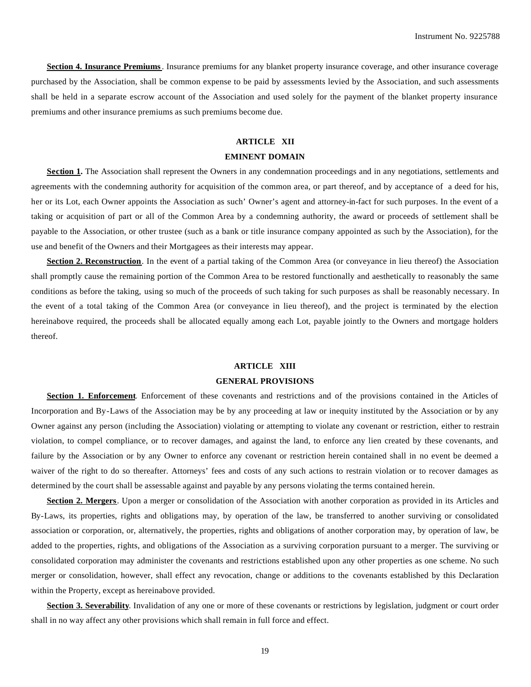**Section 4. Insurance Premiums**. Insurance premiums for any blanket property insurance coverage, and other insurance coverage purchased by the Association, shall be common expense to be paid by assessments levied by the Association, and such assessments shall be held in a separate escrow account of the Association and used solely for the payment of the blanket property insurance premiums and other insurance premiums as such premiums become due.

# **ARTICLE XII**

## **EMINENT DOMAIN**

**Section 1.** The Association shall represent the Owners in any condemnation proceedings and in any negotiations, settlements and agreements with the condemning authority for acquisition of the common area, or part thereof, and by acceptance of a deed for his, her or its Lot, each Owner appoints the Association as such' Owner's agent and attorney-in-fact for such purposes. In the event of a taking or acquisition of part or all of the Common Area by a condemning authority, the award or proceeds of settlement shall be payable to the Association, or other trustee (such as a bank or title insurance company appointed as such by the Association), for the use and benefit of the Owners and their Mortgagees as their interests may appear.

**Section 2. Reconstruction**. In the event of a partial taking of the Common Area (or conveyance in lieu thereof) the Association shall promptly cause the remaining portion of the Common Area to be restored functionally and aesthetically to reasonably the same conditions as before the taking, using so much of the proceeds of such taking for such purposes as shall be reasonably necessary. In the event of a total taking of the Common Area (or conveyance in lieu thereof), and the project is terminated by the election hereinabove required, the proceeds shall be allocated equally among each Lot, payable jointly to the Owners and mortgage holders thereof.

# **ARTICLE XIII**

#### **GENERAL PROVISIONS**

**Section 1. Enforcement**. Enforcement of these covenants and restrictions and of the provisions contained in the Articles of Incorporation and By-Laws of the Association may be by any proceeding at law or inequity instituted by the Association or by any Owner against any person (including the Association) violating or attempting to violate any covenant or restriction, either to restrain violation, to compel compliance, or to recover damages, and against the land, to enforce any lien created by these covenants, and failure by the Association or by any Owner to enforce any covenant or restriction herein contained shall in no event be deemed a waiver of the right to do so thereafter. Attorneys' fees and costs of any such actions to restrain violation or to recover damages as determined by the court shall be assessable against and payable by any persons violating the terms contained herein.

**Section 2. Mergers**. Upon a merger or consolidation of the Association with another corporation as provided in its Articles and By-Laws, its properties, rights and obligations may, by operation of the law, be transferred to another surviving or consolidated association or corporation, or, alternatively, the properties, rights and obligations of another corporation may, by operation of law, be added to the properties, rights, and obligations of the Association as a surviving corporation pursuant to a merger. The surviving or consolidated corporation may administer the covenants and restrictions established upon any other properties as one scheme. No such merger or consolidation, however, shall effect any revocation, change or additions to the covenants established by this Declaration within the Property, except as hereinabove provided.

**Section 3. Severability**. Invalidation of any one or more of these covenants or restrictions by legislation, judgment or court order shall in no way affect any other provisions which shall remain in full force and effect.